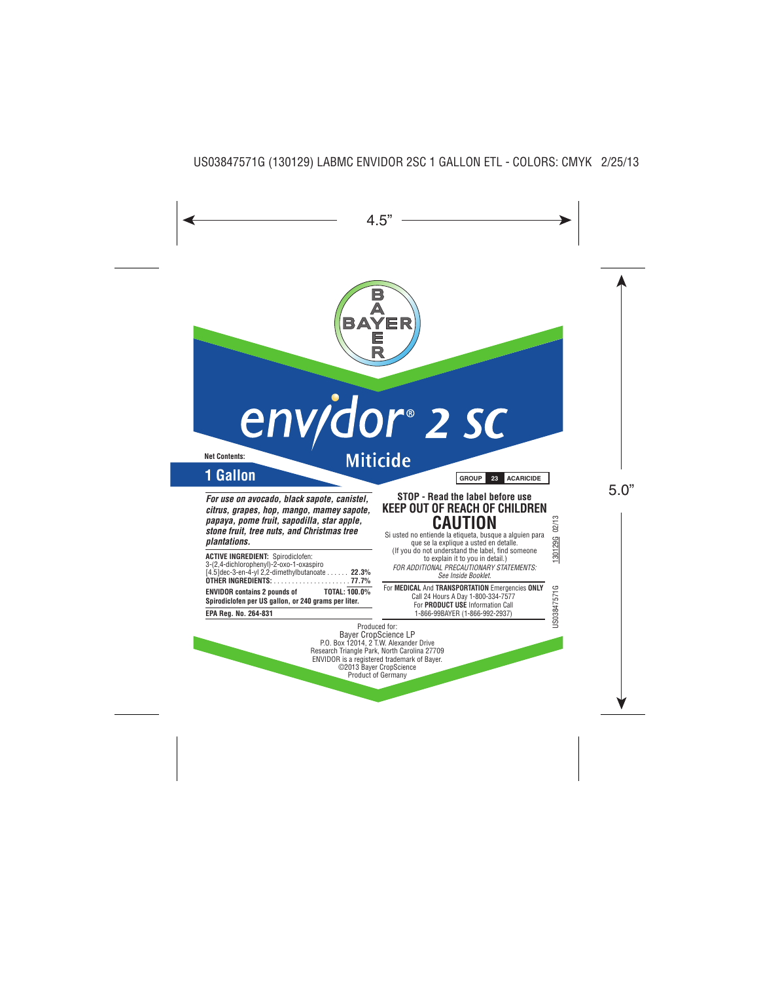

# env/dor® 2 sc

**Net Contents:**

**Miticide** 

# **1 Gallon GROUP 23 ACARICIDE**

*For use on avocado, black sapote, canistel, citrus, grapes, hop, mango, mamey sapote, papaya, pome fruit, sapodilla, star apple, stone fruit, tree nuts, and Christmas tree plantations.*

| <b>ACTIVE INGREDIENT: Spirodiclofen:</b>             |  |
|------------------------------------------------------|--|
| 3-(2,4-dichlorophenyl)-2-oxo-1-oxaspiro              |  |
| [4.5] dec-3-en-4-yl 2,2-dimethylbutanoate 22.3%      |  |
|                                                      |  |
| TOTAL: 100.0%<br><b>ENVIDOR contains 2 pounds of</b> |  |
| Spirodiclofen per US gallon, or 240 grams per liter. |  |

**EPA Reg. No. 264-831**

# **STOP - Read the label before use KEEP OUT OF REACH OF CHILDREN CAUTION** Si usted no entiende la etiqueta, busque a alguien para

que se la explique a usted en detalle. (If you do not understand the label, find someone to explain it to you in detail.) *FOR ADDITIONAL PRECAUTIONARY STATEMENTS: See Inside Booklet.*

For **MEDICAL** And **TRANSPORTATION** Emergencies **ONLY** Call 24 Hours A Day 1-800-334-7577 For **PRODUCT USE** Information Call 1-866-99BAYER (1-866-992-2937)

Produced for: Bayer CropScience LP P.O. Box 12014, 2 T.W. Alexander Drive Research Triangle Park, North Carolina 27709 ENVIDOR is a registered trademark of Bayer. ©2013 Bayer CropScience Product of Germany

JS03847571G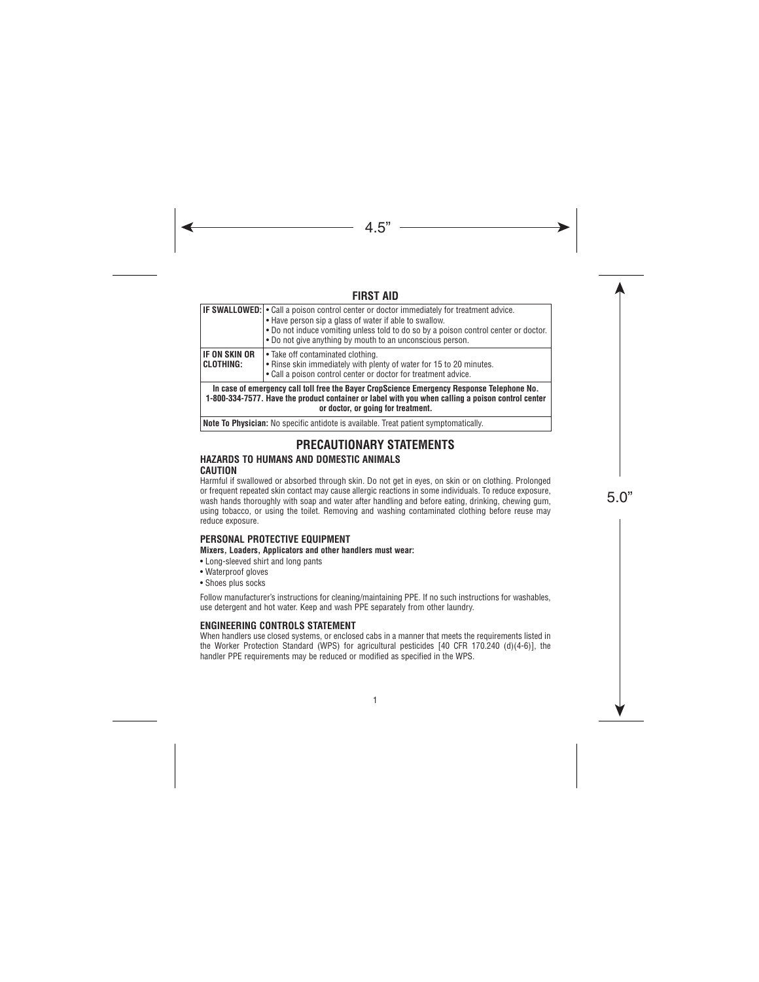# **FIRST AID**

|                            | <b>IF SWALLOWED:</b> • Call a poison control center or doctor immediately for treatment advice.<br>. Have person sip a glass of water if able to swallow.<br>. Do not induce vomiting unless told to do so by a poison control center or doctor.<br>. Do not give anything by mouth to an unconscious person. |
|----------------------------|---------------------------------------------------------------------------------------------------------------------------------------------------------------------------------------------------------------------------------------------------------------------------------------------------------------|
| IF ON SKIN OR<br>CLOTHING: | • Take off contaminated clothing.<br>• Rinse skin immediately with plenty of water for 15 to 20 minutes.<br>. Call a poison control center or doctor for treatment advice.                                                                                                                                    |
|                            | In case of emergency call toll free the Bayer CropScience Emergency Response Telephone No.                                                                                                                                                                                                                    |

**1-800-334-7577. Have the product container or label with you when calling a poison control center or doctor, or going for treatment.**

**Note To Physician:** No specific antidote is available. Treat patient symptomatically.

# **PRECAUTIONARY STATEMENTS**

#### **HAZARDS TO HUMANS AND DOMESTIC ANIMALS CAUTION**

Harmful if swallowed or absorbed through skin. Do not get in eyes, on skin or on clothing. Prolonged or frequent repeated skin contact may cause allergic reactions in some individuals. To reduce exposure, wash hands thoroughly with soap and water after handling and before eating, drinking, chewing gum, using tobacco, or using the toilet. Removing and washing contaminated clothing before reuse may reduce exposure.

## **PERSONAL PROTECTIVE EQUIPMENT**

#### **Mixers, Loaders, Applicators and other handlers must wear:**

- Long-sleeved shirt and long pants
- Waterproof gloves
- Shoes plus socks

Follow manufacturer's instructions for cleaning/maintaining PPE. If no such instructions for washables, use detergent and hot water. Keep and wash PPE separately from other laundry.

### **ENGINEERING CONTROLS STATEMENT**

When handlers use closed systems, or enclosed cabs in a manner that meets the requirements listed in the Worker Protection Standard (WPS) for agricultural pesticides [40 CFR 170.240 (d)(4-6)], the handler PPE requirements may be reduced or modified as specified in the WPS.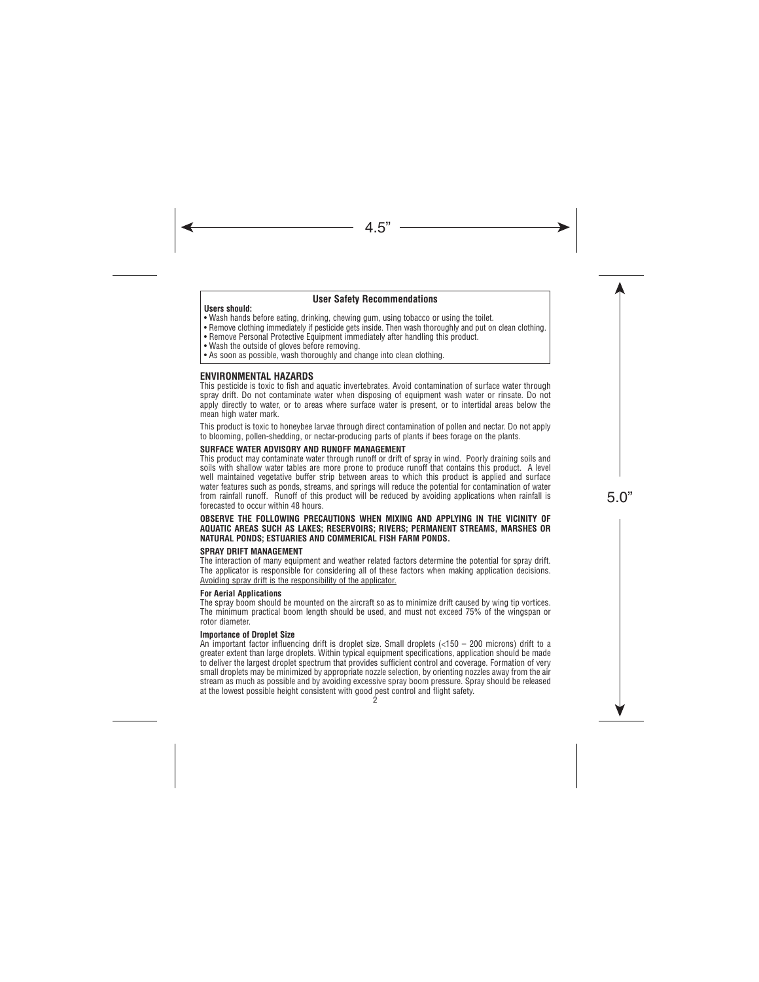#### **User Safety Recommendations**

#### **Users should:**

- Wash hands before eating, drinking, chewing gum, using tobacco or using the toilet.
- Remove clothing immediately if pesticide gets inside. Then wash thoroughly and put on clean clothing.
- Remove Personal Protective Equipment immediately after handling this product.
- Wash the outside of gloves before removing.
- As soon as possible, wash thoroughly and change into clean clothing.

#### **ENVIRONMENTAL HAZARDS**

This pesticide is toxic to fish and aquatic invertebrates. Avoid contamination of surface water through spray drift. Do not contaminate water when disposing of equipment wash water or rinsate. Do not apply directly to water, or to areas where surface water is present, or to intertidal areas below the mean high water mark.

This product is toxic to honeybee larvae through direct contamination of pollen and nectar. Do not apply to blooming, pollen-shedding, or nectar-producing parts of plants if bees forage on the plants.

#### **SURFACE WATER ADVISORY AND RUNOFF MANAGEMENT**

This product may contaminate water through runoff or drift of spray in wind. Poorly draining soils and soils with shallow water tables are more prone to produce runoff that contains this product. A level well maintained vegetative buffer strip between areas to which this product is applied and surface water features such as ponds, streams, and springs will reduce the potential for contamination of water from rainfall runoff. Runoff of this product will be reduced by avoiding applications when rainfall is forecasted to occur within 48 hours.

#### **OBSERVE THE FOLLOWING PRECAUTIONS WHEN MIXING AND APPLYING IN THE VICINITY OF AQUATIC AREAS SUCH AS LAKES; RESERVOIRS; RIVERS; PERMANENT STREAMS, MARSHES OR NATURAL PONDS; ESTUARIES AND COMMERICAL FISH FARM PONDS.**

#### **SPRAY DRIFT MANAGEMENT**

The interaction of many equipment and weather related factors determine the potential for spray drift. The applicator is responsible for considering all of these factors when making application decisions. Avoiding spray drift is the responsibility of the applicator.

#### **For Aerial Applications**

The spray boom should be mounted on the aircraft so as to minimize drift caused by wing tip vortices. The minimum practical boom length should be used, and must not exceed 75% of the wingspan or rotor diameter.

#### **Importance of Droplet Size**

An important factor influencing drift is droplet size. Small droplets (<150 – 200 microns) drift to a greater extent than large droplets. Within typical equipment specifications, application should be made to deliver the largest droplet spectrum that provides sufficient control and coverage. Formation of very small droplets may be minimized by appropriate nozzle selection, by orienting nozzles away from the air stream as much as possible and by avoiding excessive spray boom pressure. Spray should be released at the lowest possible height consistent with good pest control and flight safety.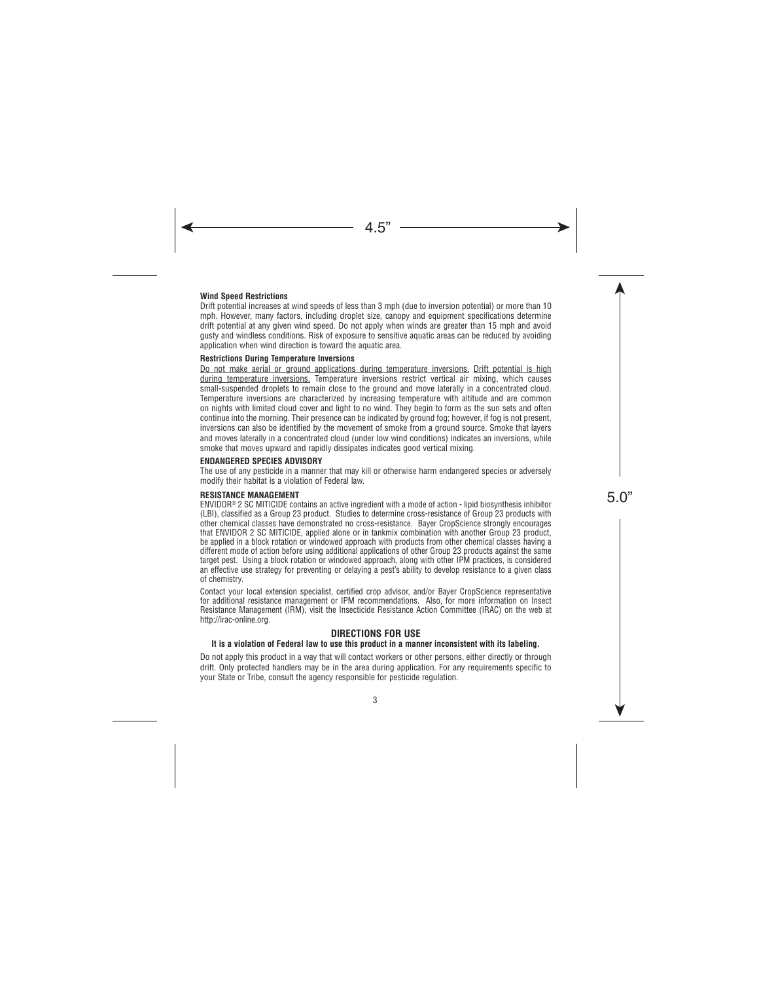#### **Wind Speed Restrictions**

Drift potential increases at wind speeds of less than 3 mph (due to inversion potential) or more than 10 mph. However, many factors, including droplet size, canopy and equipment specifications determine drift potential at any given wind speed. Do not apply when winds are greater than 15 mph and avoid gusty and windless conditions. Risk of exposure to sensitive aquatic areas can be reduced by avoiding application when wind direction is toward the aquatic area.

#### **Restrictions During Temperature Inversions**

Do not make aerial or ground applications during temperature inversions. Drift potential is high during temperature inversions. Temperature inversions restrict vertical air mixing, which causes small-suspended droplets to remain close to the ground and move laterally in a concentrated cloud. Temperature inversions are characterized by increasing temperature with altitude and are common on nights with limited cloud cover and light to no wind. They begin to form as the sun sets and often continue into the morning. Their presence can be indicated by ground fog; however, if fog is not present, inversions can also be identified by the movement of smoke from a ground source. Smoke that layers and moves laterally in a concentrated cloud (under low wind conditions) indicates an inversions, while smoke that moves upward and rapidly dissipates indicates good vertical mixing.

#### **ENDANGERED SPECIES ADVISORY**

The use of any pesticide in a manner that may kill or otherwise harm endangered species or adversely modify their habitat is a violation of Federal law.

#### **RESISTANCE MANAGEMENT**

ENVIDOR® 2 SC MITICIDE contains an active ingredient with a mode of action - lipid biosynthesis inhibitor (LBI), classified as a Group 23 product. Studies to determine cross-resistance of Group 23 products with other chemical classes have demonstrated no cross-resistance. Bayer CropScience strongly encourages that ENVIDOR 2 SC MITICIDE, applied alone or in tankmix combination with another Group 23 product, be applied in a block rotation or windowed approach with products from other chemical classes having a different mode of action before using additional applications of other Group 23 products against the same target pest. Using a block rotation or windowed approach, along with other IPM practices, is considered an effective use strategy for preventing or delaying a pest's ability to develop resistance to a given class of chemistry.

Contact your local extension specialist, certified crop advisor, and/or Bayer CropScience representative for additional resistance management or IPM recommendations. Also, for more information on Insect Resistance Management (IRM), visit the Insecticide Resistance Action Committee (IRAC) on the web at http://irac-online.org.

#### **DIRECTIONS FOR USE**

#### **It is a violation of Federal law to use this product in a manner inconsistent with its labeling.**

Do not apply this product in a way that will contact workers or other persons, either directly or through drift. Only protected handlers may be in the area during application. For any requirements specific to your State or Tribe, consult the agency responsible for pesticide regulation.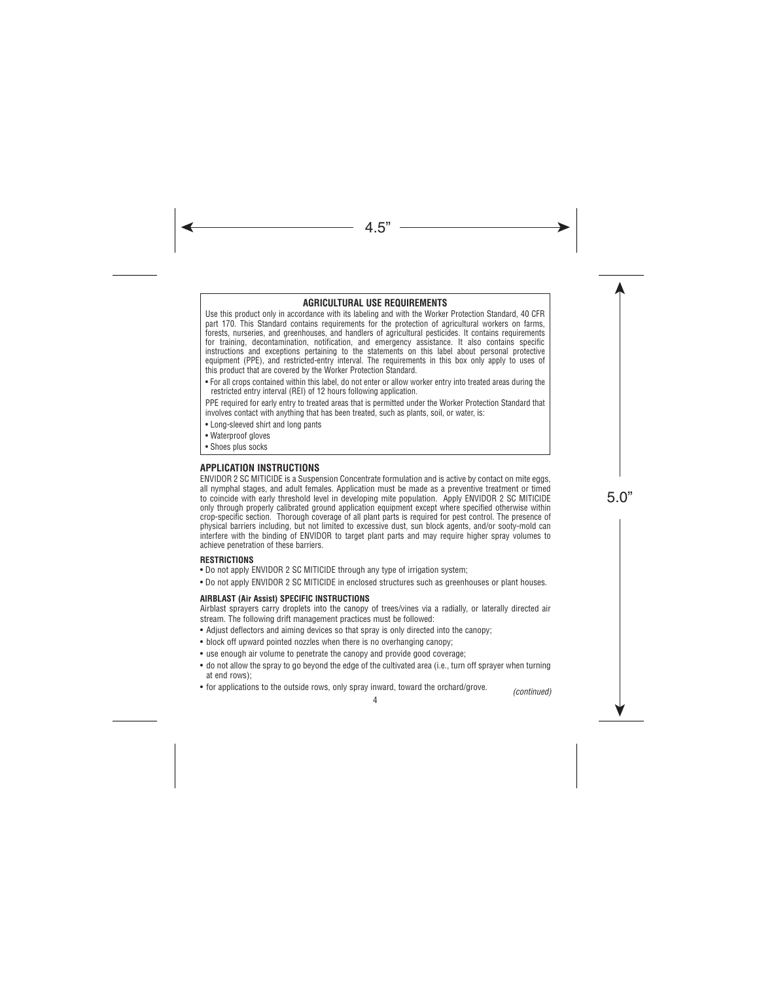## **AGRICULTURAL USE REQUIREMENTS**

Use this product only in accordance with its labeling and with the Worker Protection Standard, 40 CFR part 170. This Standard contains requirements for the protection of agricultural workers on farms, forests, nurseries, and greenhouses, and handlers of agricultural pesticides. It contains requirements for training, decontamination, notification, and emergency assistance. It also contains specific instructions and exceptions pertaining to the statements on this label about personal protective equipment (PPE), and restricted-entry interval. The requirements in this box only apply to uses of this product that are covered by the Worker Protection Standard.

• For all crops contained within this label, do not enter or allow worker entry into treated areas during the restricted entry interval (REI) of 12 hours following application.

PPE required for early entry to treated areas that is permitted under the Worker Protection Standard that involves contact with anything that has been treated, such as plants, soil, or water, is:

- Long-sleeved shirt and long pants
- Waterproof gloves
- Shoes plus socks

#### **APPLICATION INSTRUCTIONS**

ENVIDOR 2 SC MITICIDE is a Suspension Concentrate formulation and is active by contact on mite eggs, all nymphal stages, and adult females. Application must be made as a preventive treatment or timed to coincide with early threshold level in developing mite population. Apply ENVIDOR 2 SC MITICIDE only through properly calibrated ground application equipment except where specified otherwise within crop-specific section. Thorough coverage of all plant parts is required for pest control. The presence of physical barriers including, but not limited to excessive dust, sun block agents, and/or sooty-mold can interfere with the binding of ENVIDOR to target plant parts and may require higher spray volumes to achieve penetration of these barriers.

#### **RESTRICTIONS**

- Do not apply ENVIDOR 2 SC MITICIDE through any type of irrigation system;
- Do not apply ENVIDOR 2 SC MITICIDE in enclosed structures such as greenhouses or plant houses.

#### **AIRBLAST (Air Assist) SPECIFIC INSTRUCTIONS**

Airblast sprayers carry droplets into the canopy of trees/vines via a radially, or laterally directed air stream. The following drift management practices must be followed:

- Adjust deflectors and aiming devices so that spray is only directed into the canopy;
- block off upward pointed nozzles when there is no overhanging canopy;
- use enough air volume to penetrate the canopy and provide good coverage;
- do not allow the spray to go beyond the edge of the cultivated area (i.e., turn off sprayer when turning at end rows);
- for applications to the outside rows, only spray inward, toward the orchard/grove. *(continued)*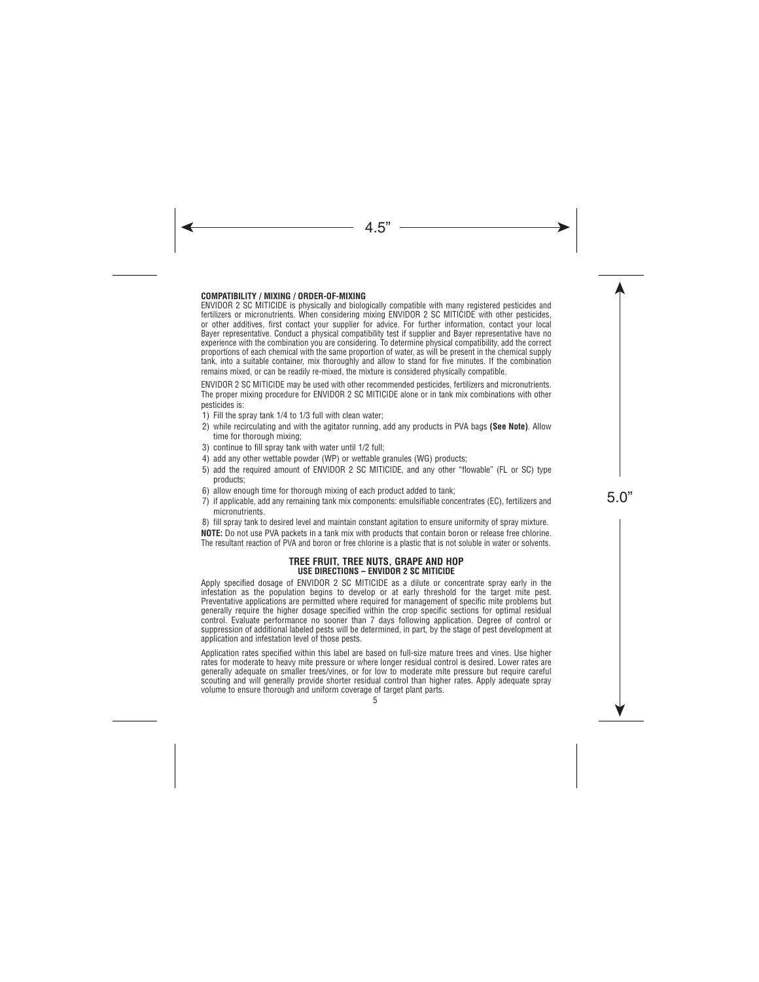#### **COMPATIBILITY / MIXING / ORDER-OF-MIXING**

ENVIDOR 2 SC MITICIDE is physically and biologically compatible with many registered pesticides and fertilizers or micronutrients. When considering mixing ENVIDOR 2 SC MITICIDE with other pesticides, or other additives, first contact your supplier for advice. For further information, contact your local Bayer representative. Conduct a physical compatibility test if supplier and Bayer representative have no experience with the combination you are considering. To determine physical compatibility, add the correct proportions of each chemical with the same proportion of water, as will be present in the chemical supply tank, into a suitable container, mix thoroughly and allow to stand for five minutes. If the combination remains mixed, or can be readily re-mixed, the mixture is considered physically compatible.

ENVIDOR 2 SC MITICIDE may be used with other recommended pesticides, fertilizers and micronutrients. The proper mixing procedure for ENVIDOR 2 SC MITICIDE alone or in tank mix combinations with other pesticides is:

- 1) Fill the spray tank 1/4 to 1/3 full with clean water;
- 2) while recirculating and with the agitator running, add any products in PVA bags **(See Note)**. Allow time for thorough mixing;
- 3) continue to fill spray tank with water until 1/2 full;
- 4) add any other wettable powder (WP) or wettable granules (WG) products;
- 5) add the required amount of ENVIDOR 2 SC MITICIDE, and any other "flowable" (FL or SC) type products;
- 6) allow enough time for thorough mixing of each product added to tank;
- 7) if applicable, add any remaining tank mix components: emulsifiable concentrates (EC), fertilizers and micronutrients.

8) fill spray tank to desired level and maintain constant agitation to ensure uniformity of spray mixture. **NOTE:** Do not use PVA packets in a tank mix with products that contain boron or release free chlorine. The resultant reaction of PVA and boron or free chlorine is a plastic that is not soluble in water or solvents.

#### **TREE FRUIT, TREE NUTS, GRAPE AND HOP USE DIRECTIONS – ENVIDOR 2 SC MITICIDE**

Apply specified dosage of ENVIDOR 2 SC MITICIDE as a dilute or concentrate spray early in the infestation as the population begins to develop or at early threshold for the target mite pest. Preventative applications are permitted where required for management of specific mite problems but generally require the higher dosage specified within the crop specific sections for optimal residual control. Evaluate performance no sooner than 7 days following application. Degree of control or suppression of additional labeled pests will be determined, in part, by the stage of pest development at application and infestation level of those pests.

Application rates specified within this label are based on full-size mature trees and vines. Use higher rates for moderate to heavy mite pressure or where longer residual control is desired. Lower rates are generally adequate on smaller trees/vines, or for low to moderate mite pressure but require careful scouting and will generally provide shorter residual control than higher rates. Apply adequate spray volume to ensure thorough and uniform coverage of target plant parts.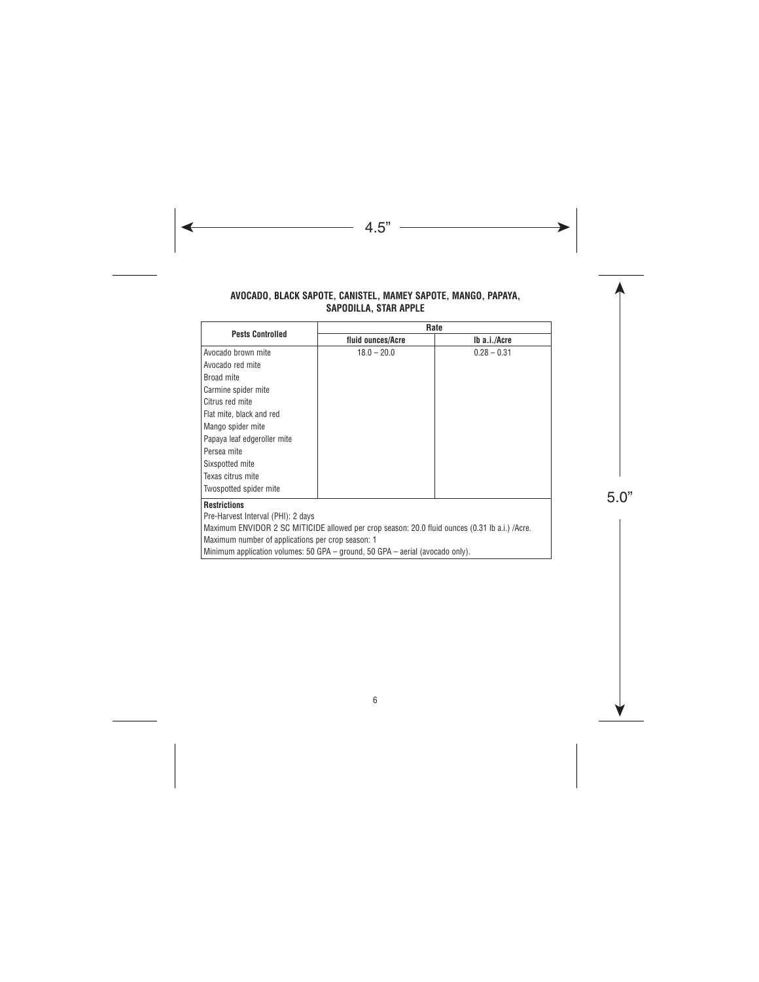#### **AVOCADO, BLACK SAPOTE, CANISTEL, MAMEY SAPOTE, MANGO, PAPAYA, SAPODILLA, STAR APPLE**

| <b>Pests Controlled</b>                                                                        | Rate              |               |
|------------------------------------------------------------------------------------------------|-------------------|---------------|
|                                                                                                | fluid ounces/Acre | Ib a.i./Acre  |
| Avocado brown mite                                                                             | $18.0 - 20.0$     | $0.28 - 0.31$ |
| Avocado red mite                                                                               |                   |               |
| Broad mite                                                                                     |                   |               |
| Carmine spider mite                                                                            |                   |               |
| Citrus red mite                                                                                |                   |               |
| Flat mite, black and red                                                                       |                   |               |
| Mango spider mite                                                                              |                   |               |
| Papaya leaf edgeroller mite                                                                    |                   |               |
| Persea mite                                                                                    |                   |               |
| Sixspotted mite                                                                                |                   |               |
| Texas citrus mite                                                                              |                   |               |
| Twospotted spider mite                                                                         |                   |               |
| <b>Restrictions</b>                                                                            |                   |               |
| Pre-Harvest Interval (PHI): 2 days                                                             |                   |               |
| Maximum ENVIDOR 2 SC MITICIDE allowed per crop season: 20.0 fluid ounces (0.31 lb a.i.) /Acre. |                   |               |
| Maximum number of applications per crop season: 1                                              |                   |               |
| Minimum application volumes: 50 GPA – ground, 50 GPA – aerial (avocado only).                  |                   |               |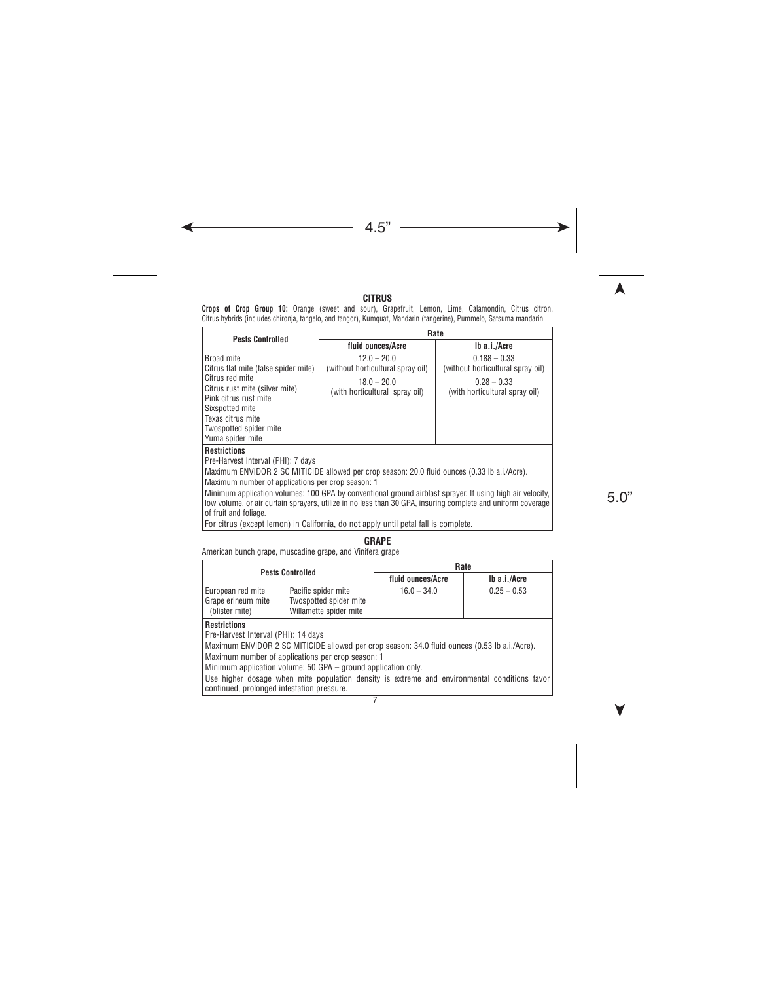#### **CITRUS**

**Crops of Crop Group 10:** Orange (sweet and sour), Grapefruit, Lemon, Lime, Calamondin, Citrus citron, Citrus hybrids (includes chironja, tangelo, and tangor), Kumquat, Mandarin (tangerine), Pummelo, Satsuma mandarin

| <b>Pests Controlled</b>                                                                                                                                                                                                        | Rate<br>fluid ounces/Acre<br>Ib a.i./Acre                                                             |                                                                                                        |
|--------------------------------------------------------------------------------------------------------------------------------------------------------------------------------------------------------------------------------|-------------------------------------------------------------------------------------------------------|--------------------------------------------------------------------------------------------------------|
|                                                                                                                                                                                                                                |                                                                                                       |                                                                                                        |
| Broad mite<br>Citrus flat mite (false spider mite)<br>l Citrus red mite<br>  Citrus rust mite (silver mite)<br>Pink citrus rust mite<br>l Sixspotted mite<br>Texas citrus mite<br>Twospotted spider mite<br>  Yuma spider mite | $12.0 - 20.0$<br>(without horticultural spray oil)<br>$18.0 - 20.0$<br>(with horticultural spray oil) | $0.188 - 0.33$<br>(without horticultural spray oil)<br>$0.28 - 0.33$<br>(with horticultural spray oil) |
| <b>Restrictions</b><br>Due Hewseet Internet (DUI), 7 desse                                                                                                                                                                     |                                                                                                       |                                                                                                        |

Pre-Harvest Interval (PHI): 7 days

Maximum ENVIDOR 2 SC MITICIDE allowed per crop season: 20.0 fluid ounces (0.33 lb a.i./Acre).

Maximum number of applications per crop season: 1

Minimum application volumes: 100 GPA by conventional ground airblast sprayer. If using high air velocity, low volume, or air curtain sprayers, utilize in no less than 30 GPA, insuring complete and uniform coverage of fruit and foliage.

For citrus (except lemon) in California, do not apply until petal fall is complete.

### **GRAPE**

American bunch grape, muscadine grape, and Vinifera grape

| <b>Pests Controlled</b>                                   |                                                                         | Rate              |               |
|-----------------------------------------------------------|-------------------------------------------------------------------------|-------------------|---------------|
|                                                           |                                                                         | fluid ounces/Acre | Ib a.i./Acre  |
| European red mite<br>Grape erineum mite<br>(blister mite) | Pacific spider mite<br>Twospotted spider mite<br>Willamette spider mite | $16.0 - 34.0$     | $0.25 - 0.53$ |

#### **Restrictions**

Pre-Harvest Interval (PHI): 14 days

Maximum ENVIDOR 2 SC MITICIDE allowed per crop season: 34.0 fluid ounces (0.53 lb a.i./Acre).

Maximum number of applications per crop season: 1

Minimum application volume: 50 GPA – ground application only.

Use higher dosage when mite population density is extreme and environmental conditions favor continued, prolonged infestation pressure.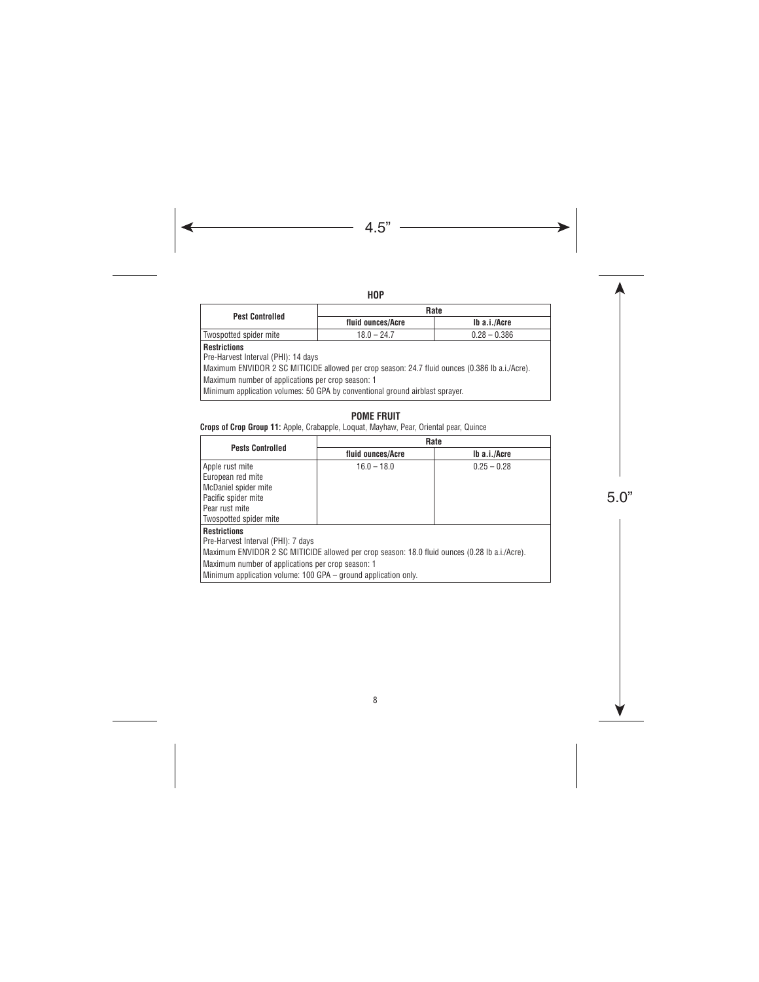|                          | ۰. |
|--------------------------|----|
| $\overline{\phantom{a}}$ |    |

| <b>Pest Controlled</b>                                                                         | Rate                            |              |  |
|------------------------------------------------------------------------------------------------|---------------------------------|--------------|--|
|                                                                                                | fluid ounces/Acre               | Ib a.i./Acre |  |
| Twospotted spider mite                                                                         | $0.28 - 0.386$<br>$18.0 - 24.7$ |              |  |
| <b>Restrictions</b>                                                                            |                                 |              |  |
| Pre-Harvest Interval (PHI): 14 days                                                            |                                 |              |  |
| Maximum ENVIDOR 2 SC MITICIDE allowed per crop season: 24.7 fluid ounces (0.386 lb a.i./Acre). |                                 |              |  |
| Maximum number of applications per crop season: 1                                              |                                 |              |  |
| Minimum application volumes: 50 GPA by conventional ground airblast sprayer.                   |                                 |              |  |

## **POME FRUIT**

**Crops of Crop Group 11:** Apple, Crabapple, Loquat, Mayhaw, Pear, Oriental pear, Quince

| <b>Pests Controlled</b>                                                                                                                                                                                                                                                           | Rate              |               |
|-----------------------------------------------------------------------------------------------------------------------------------------------------------------------------------------------------------------------------------------------------------------------------------|-------------------|---------------|
|                                                                                                                                                                                                                                                                                   | fluid ounces/Acre | Ib a.i./Acre  |
| Apple rust mite<br>European red mite<br>McDaniel spider mite<br>Pacific spider mite<br>Pear rust mite<br>Twospotted spider mite                                                                                                                                                   | $16.0 - 18.0$     | $0.25 - 0.28$ |
| <b>Restrictions</b><br>Pre-Harvest Interval (PHI): 7 days<br>Maximum ENVIDOR 2 SC MITICIDE allowed per crop season: 18.0 fluid ounces (0.28 lb a.i./Acre).<br>Maximum number of applications per crop season: 1<br>Minimum application volume: 100 GPA – ground application only. |                   |               |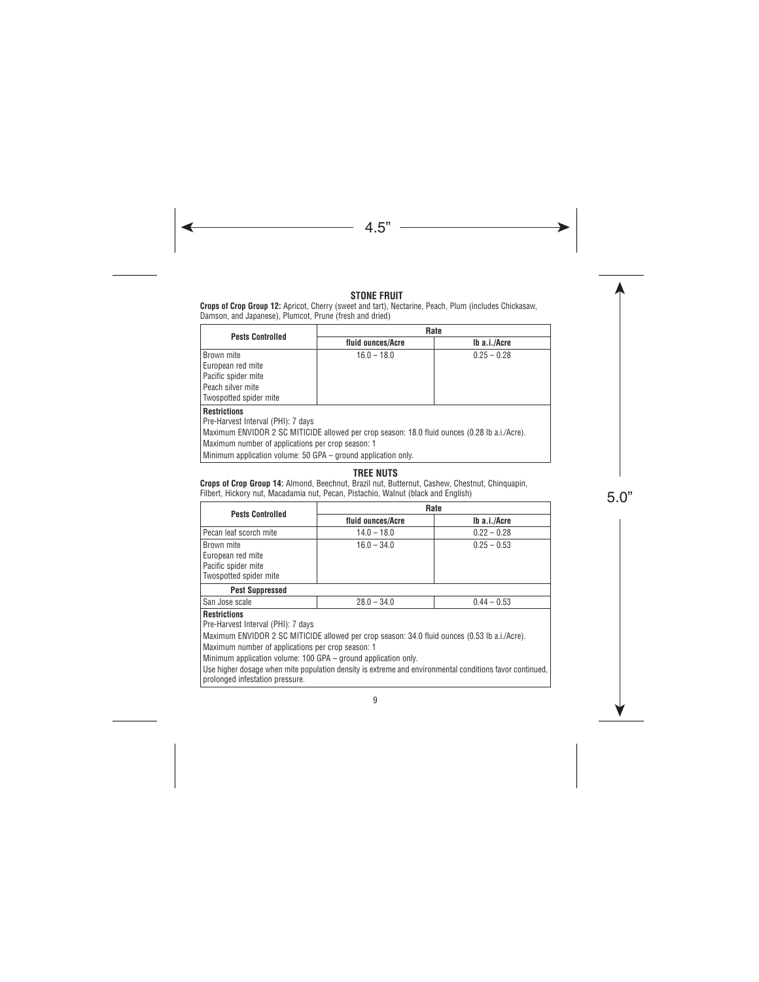#### **STONE FRUIT**

**Crops of Crop Group 12:** Apricot, Cherry (sweet and tart), Nectarine, Peach, Plum (includes Chickasaw, Damson, and Japanese), Plumcot, Prune (fresh and dried)

| <b>Pests Controlled</b>                                                                                                                                                                                         | Rate              |               |  |
|-----------------------------------------------------------------------------------------------------------------------------------------------------------------------------------------------------------------|-------------------|---------------|--|
|                                                                                                                                                                                                                 | fluid ounces/Acre | Ib a.i./Acre  |  |
| Brown mite<br>European red mite<br>Pacific spider mite<br>Peach silver mite<br>Twospotted spider mite                                                                                                           | $16.0 - 18.0$     | $0.25 - 0.28$ |  |
| <b>Restrictions</b><br>Pre-Harvest Interval (PHI): 7 days<br>Maximum ENVIDOR 2 SC MITICIDE allowed per crop season: 18.0 fluid ounces (0.28 lb a.i./Acre).<br>Maximum number of applications per crop season: 1 |                   |               |  |

Minimum application volume: 50 GPA – ground application only.

## **TREE NUTS**

**Crops of Crop Group 14:** Almond, Beechnut, Brazil nut, Butternut, Cashew, Chestnut, Chinquapin, Filbert, Hickory nut, Macadamia nut, Pecan, Pistachio, Walnut (black and English)

| <b>Pests Controlled</b>                                                                                                                                                                                                                                                           | Rate              |               |  |
|-----------------------------------------------------------------------------------------------------------------------------------------------------------------------------------------------------------------------------------------------------------------------------------|-------------------|---------------|--|
|                                                                                                                                                                                                                                                                                   | fluid ounces/Acre | Ib a.i./Acre  |  |
| Pecan leaf scorch mite                                                                                                                                                                                                                                                            | $14.0 - 18.0$     | $0.22 - 0.28$ |  |
| Brown mite<br>European red mite<br>Pacific spider mite<br>Twospotted spider mite                                                                                                                                                                                                  | $16.0 - 34.0$     | $0.25 - 0.53$ |  |
| <b>Pest Suppressed</b>                                                                                                                                                                                                                                                            |                   |               |  |
| San Jose scale                                                                                                                                                                                                                                                                    | $28.0 - 34.0$     | $0.44 - 0.53$ |  |
| <b>Restrictions</b><br>Pre-Harvest Interval (PHI): 7 days<br>Maximum ENVIDOR 2 SC MITICIDE allowed per crop season: 34.0 fluid ounces (0.53 lb a.i./Acre).<br>Maximum number of applications per crop season: 1<br>Minimum application volume: 100 GPA – ground application only. |                   |               |  |

Use higher dosage when mite population density is extreme and environmental conditions favor continued, prolonged infestation pressure.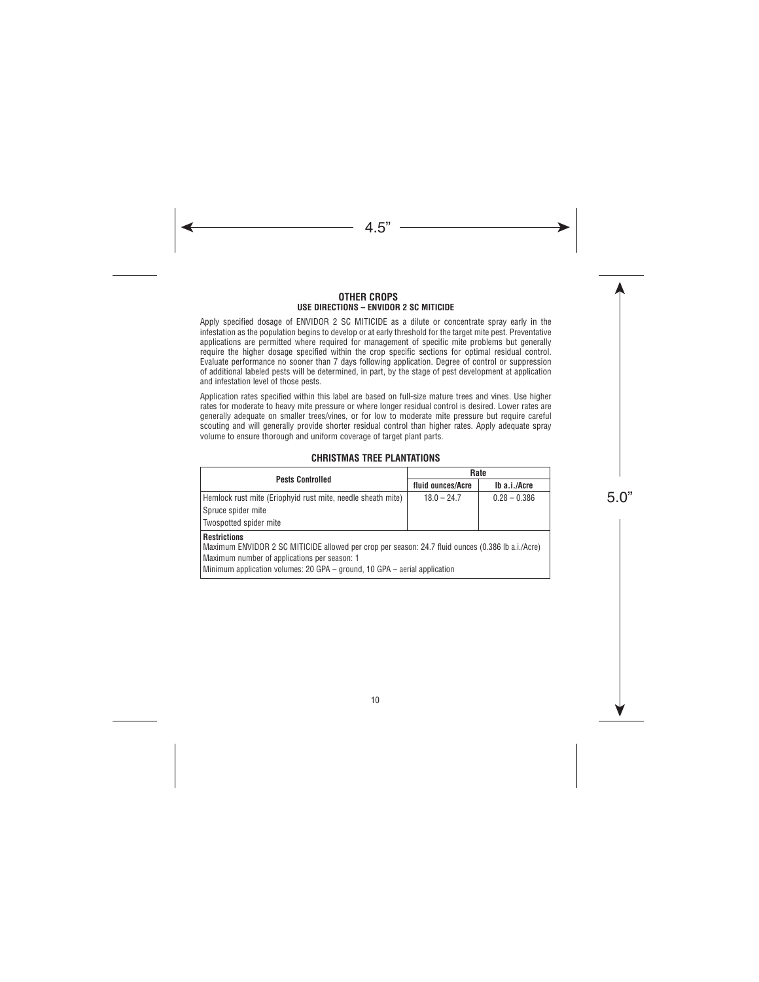#### **OTHER CROPS USE DIRECTIONS – ENVIDOR 2 SC MITICIDE**

Apply specified dosage of ENVIDOR 2 SC MITICIDE as a dilute or concentrate spray early in the infestation as the population begins to develop or at early threshold for the target mite pest. Preventative applications are permitted where required for management of specific mite problems but generally require the higher dosage specified within the crop specific sections for optimal residual control. Evaluate performance no sooner than 7 days following application. Degree of control or suppression of additional labeled pests will be determined, in part, by the stage of pest development at application and infestation level of those pests.

Application rates specified within this label are based on full-size mature trees and vines. Use higher rates for moderate to heavy mite pressure or where longer residual control is desired. Lower rates are generally adequate on smaller trees/vines, or for low to moderate mite pressure but require careful scouting and will generally provide shorter residual control than higher rates. Apply adequate spray volume to ensure thorough and uniform coverage of target plant parts.

#### **CHRISTMAS TREE PLANTATIONS**

| <b>Pests Controlled</b>                                                                                                                                                                                                                               | Rate              |                |
|-------------------------------------------------------------------------------------------------------------------------------------------------------------------------------------------------------------------------------------------------------|-------------------|----------------|
|                                                                                                                                                                                                                                                       | fluid ounces/Acre | Ib a.i./Acre   |
| Hemlock rust mite (Eriophyid rust mite, needle sheath mite)                                                                                                                                                                                           | $18.0 - 24.7$     | $0.28 - 0.386$ |
| Spruce spider mite                                                                                                                                                                                                                                    |                   |                |
| Twospotted spider mite                                                                                                                                                                                                                                |                   |                |
| <b>Restrictions</b><br>Maximum ENVIDOR 2 SC MITICIDE allowed per crop per season: 24.7 fluid ounces (0.386 lb a.i./Acre)<br>Maximum number of applications per season: 1<br>Minimum application volumes: 20 GPA – ground, 10 GPA – aerial application |                   |                |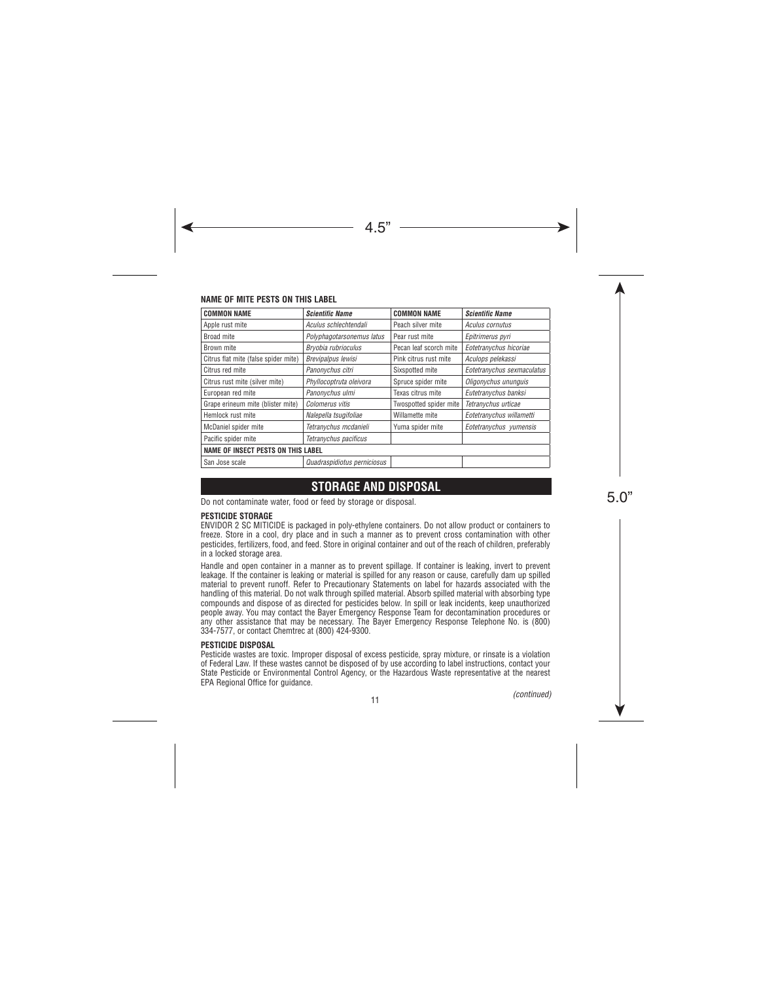#### **NAME OF MITE PESTS ON THIS LABEL**

| <b>COMMON NAME</b>                        | <b>Scientific Name</b>      | <b>COMMON NAME</b>     | <b>Scientific Name</b>     |
|-------------------------------------------|-----------------------------|------------------------|----------------------------|
| Apple rust mite                           | Aculus schlechtendali       | Peach silver mite      | Aculus cornutus            |
| Broad mite                                | Polyphagotarsonemus latus   | Pear rust mite         | Epitrimerus pyri           |
| Brown mite                                | Bryobia rubrioculus         | Pecan leaf scorch mite | Eotetranychus hicoriae     |
| Citrus flat mite (false spider mite)      | Brevipalpus lewisi          | Pink citrus rust mite  | Aculops pelekassi          |
| Citrus red mite                           | Panonychus citri            | Sixspotted mite        | Eotetranychus sexmaculatus |
| Citrus rust mite (silver mite)            | Phyllocoptruta oleivora     | Spruce spider mite     | Oligonychus ununguis       |
| European red mite                         | Panonvchus ulmi             | Texas citrus mite      | Eutetranychus banksi       |
| Grape erineum mite (blister mite)         | Colomerus vitis             | Twospotted spider mite | Tetranychus urticae        |
| Hemlock rust mite                         | Nalepella tsugifoliae       | Willamette mite        | Eotetranychus willametti   |
| McDaniel spider mite                      | Tetranychus mcdanieli       | Yuma spider mite       | Eotetranychus yumensis     |
| Pacific spider mite                       | Tetranychus pacificus       |                        |                            |
| <b>NAME OF INSECT PESTS ON THIS LABEL</b> |                             |                        |                            |
| San Jose scale                            | Quadraspidiotus perniciosus |                        |                            |

# **STORAGE AND DISPOSAL**

Do not contaminate water, food or feed by storage or disposal.

#### **PESTICIDE STORAGE**

ENVIDOR 2 SC MITICIDE is packaged in poly-ethylene containers. Do not allow product or containers to freeze. Store in a cool, dry place and in such a manner as to prevent cross contamination with other pesticides, fertilizers, food, and feed. Store in original container and out of the reach of children, preferably in a locked storage area.

Handle and open container in a manner as to prevent spillage. If container is leaking, invert to prevent leakage. If the container is leaking or material is spilled for any reason or cause, carefully dam up spilled material to prevent runoff. Refer to Precautionary Statements on label for hazards associated with the handling of this material. Do not walk through spilled material. Absorb spilled material with absorbing type compounds and dispose of as directed for pesticides below. In spill or leak incidents, keep unauthorized people away. You may contact the Bayer Emergency Response Team for decontamination procedures or any other assistance that may be necessary. The Bayer Emergency Response Telephone No. is (800) 334-7577, or contact Chemtrec at (800) 424-9300.

#### **PESTICIDE DISPOSAL**

Pesticide wastes are toxic. Improper disposal of excess pesticide, spray mixture, or rinsate is a violation of Federal Law. If these wastes cannot be disposed of by use according to label instructions, contact your State Pesticide or Environmental Control Agency, or the Hazardous Waste representative at the nearest EPA Regional Office for guidance.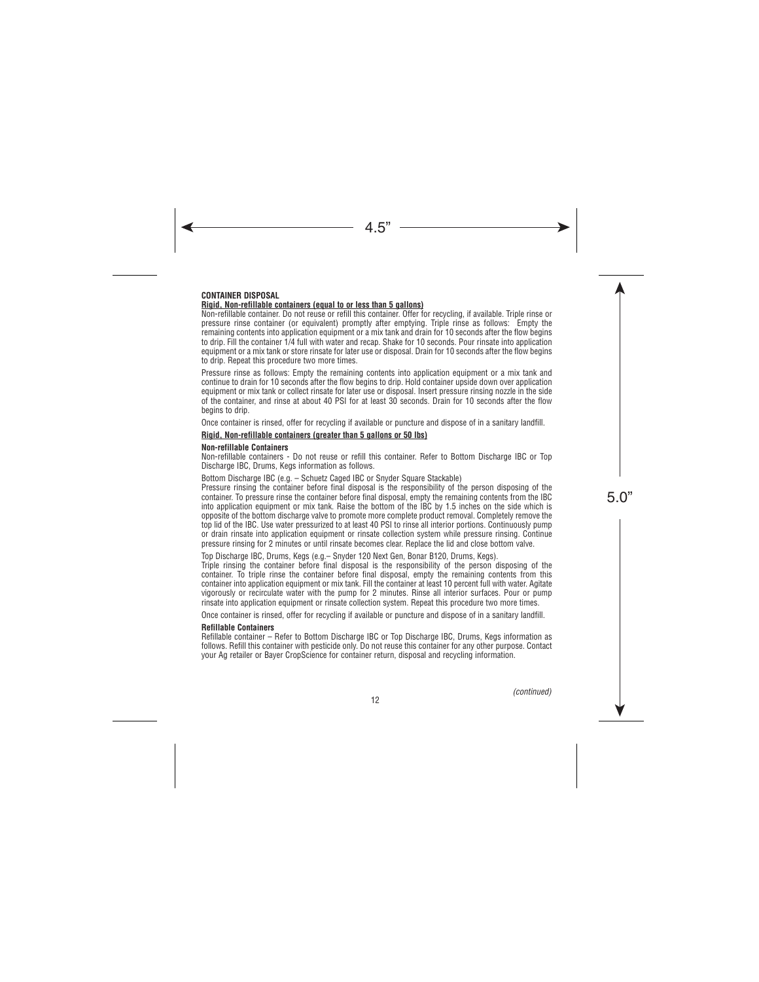#### **CONTAINER DISPOSAL Rigid, Non-refillable containers (equal to or less than 5 gallons)**

Non-refillable container. Do not reuse or refill this container. Offer for recycling, if available. Triple rinse or pressure rinse container (or equivalent) promptly after emptying. Triple rinse as follows: Empty the remaining contents into application equipment or a mix tank and drain for 10 seconds after the flow begins to drip. Fill the container 1/4 full with water and recap. Shake for 10 seconds. Pour rinsate into application equipment or a mix tank or store rinsate for later use or disposal. Drain for 10 seconds after the flow begins to drip. Repeat this procedure two more times.

Pressure rinse as follows: Empty the remaining contents into application equipment or a mix tank and continue to drain for 10 seconds after the flow begins to drip. Hold container upside down over application equipment or mix tank or collect rinsate for later use or disposal. Insert pressure rinsing nozzle in the side of the container, and rinse at about 40 PSI for at least 30 seconds. Drain for 10 seconds after the flow begins to drip.

Once container is rinsed, offer for recycling if available or puncture and dispose of in a sanitary landfill.

#### **Rigid, Non-refillable containers (greater than 5 gallons or 50 lbs)**

#### **Non-refillable Containers**

Non-refillable containers - Do not reuse or refill this container. Refer to Bottom Discharge IBC or Top Discharge IBC, Drums, Kegs information as follows.

Bottom Discharge IBC (e.g. – Schuetz Caged IBC or Snyder Square Stackable)

Pressure rinsing the container before final disposal is the responsibility of the person disposing of the container. To pressure rinse the container before final disposal, empty the remaining contents from the IBC into application equipment or mix tank. Raise the bottom of the IBC by 1.5 inches on the side which is opposite of the bottom discharge valve to promote more complete product removal. Completely remove the top lid of the IBC. Use water pressurized to at least 40 PSI to rinse all interior portions. Continuously pump or drain rinsate into application equipment or rinsate collection system while pressure rinsing. Continue pressure rinsing for 2 minutes or until rinsate becomes clear. Replace the lid and close bottom valve.

Top Discharge IBC, Drums, Kegs (e.g.– Snyder 120 Next Gen, Bonar B120, Drums, Kegs).

Triple rinsing the container before final disposal is the responsibility of the person disposing of the container. To triple rinse the container before final disposal, empty the remaining contents from this container into application equipment or mix tank. Fill the container at least 10 percent full with water. Agitate vigorously or recirculate water with the pump for 2 minutes. Rinse all interior surfaces. Pour or pump rinsate into application equipment or rinsate collection system. Repeat this procedure two more times.

Once container is rinsed, offer for recycling if available or puncture and dispose of in a sanitary landfill.

#### **Refillable Containers**

Refillable container – Refer to Bottom Discharge IBC or Top Discharge IBC, Drums, Kegs information as follows. Refill this container with pesticide only. Do not reuse this container for any other purpose. Contact your Ag retailer or Bayer CropScience for container return, disposal and recycling information.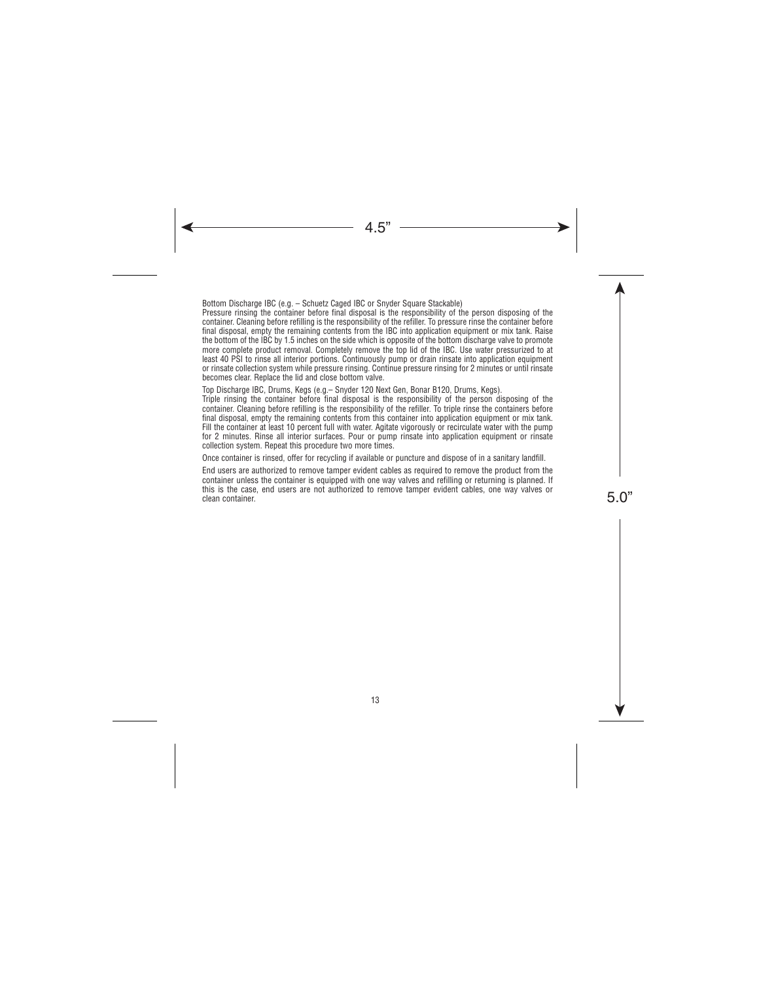Bottom Discharge IBC (e.g. – Schuetz Caged IBC or Snyder Square Stackable)

Pressure rinsing the container before final disposal is the responsibility of the person disposing of the container. Cleaning before refilling is the responsibility of the refiller. To pressure rinse the container before final disposal, empty the remaining contents from the IBC into application equipment or mix tank. Raise the bottom of the IBC by 1.5 inches on the side which is opposite of the bottom discharge valve to promote more complete product removal. Completely remove the top lid of the IBC. Use water pressurized to at least 40 PSI to rinse all interior portions. Continuously pump or drain rinsate into application equipment or rinsate collection system while pressure rinsing. Continue pressure rinsing for 2 minutes or until rinsate becomes clear. Replace the lid and close bottom valve.

Top Discharge IBC, Drums, Kegs (e.g.– Snyder 120 Next Gen, Bonar B120, Drums, Kegs).

Triple rinsing the container before final disposal is the responsibility of the person disposing of the container. Cleaning before refilling is the responsibility of the refiller. To triple rinse the containers before final disposal, empty the remaining contents from this container into application equipment or mix tank. Fill the container at least 10 percent full with water. Agitate vigorously or recirculate water with the pump for 2 minutes. Rinse all interior surfaces. Pour or pump rinsate into application equipment or rinsate collection system. Repeat this procedure two more times.

Once container is rinsed, offer for recycling if available or puncture and dispose of in a sanitary landfill.

End users are authorized to remove tamper evident cables as required to remove the product from the container unless the container is equipped with one way valves and refilling or returning is planned. If this is the case, end users are not authorized to remove tamper evident cables, one way valves or clean container.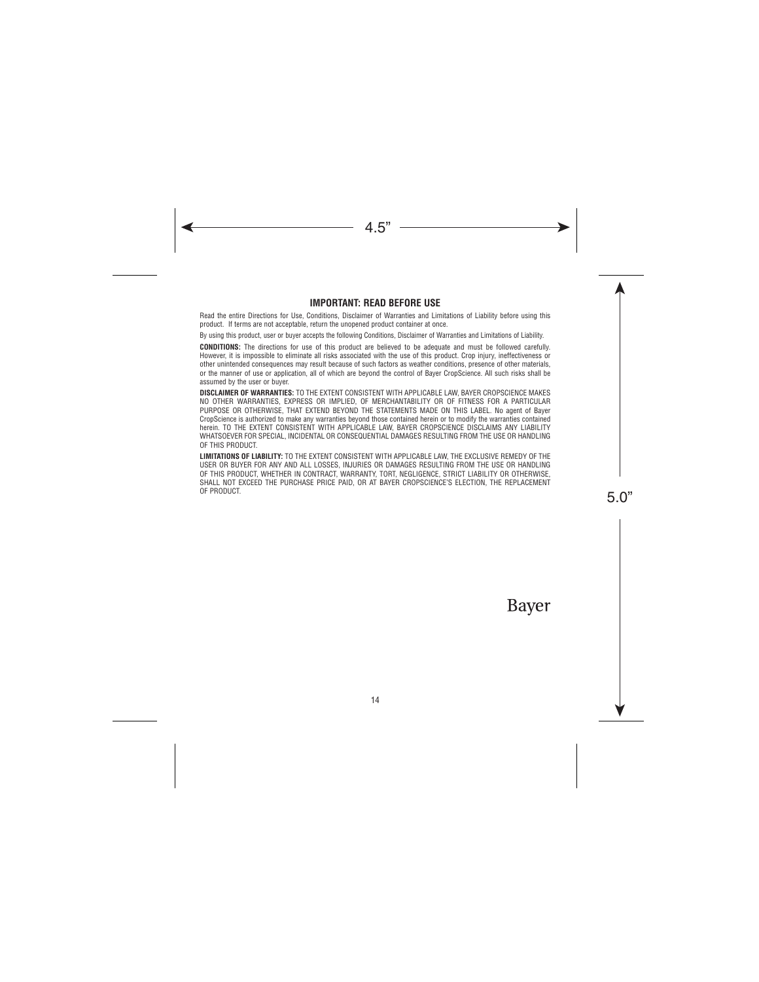#### **IMPORTANT: READ BEFORE USE**

Read the entire Directions for Use, Conditions, Disclaimer of Warranties and Limitations of Liability before using this product. If terms are not acceptable, return the unopened product container at once.

By using this product, user or buyer accepts the following Conditions, Disclaimer of Warranties and Limitations of Liability.

**CONDITIONS:** The directions for use of this product are believed to be adequate and must be followed carefully. However, it is impossible to eliminate all risks associated with the use of this product. Crop injury, ineffectiveness or other unintended consequences may result because of such factors as weather conditions, presence of other materials, or the manner of use or application, all of which are beyond the control of Bayer CropScience. All such risks shall be assumed by the user or buyer.

**DISCLAIMER OF WARRANTIES:** TO THE EXTENT CONSISTENT WITH APPLICABLE LAW, BAYER CROPSCIENCE MAKES NO OTHER WARRANTIES, EXPRESS OR IMPLIED, OF MERCHANTABILITY OR OF FITNESS FOR A PARTICULAR PURPOSE OR OTHERWISE, THAT EXTEND BEYOND THE STATEMENTS MADE ON THIS LABEL. No agent of Bayer CropScience is authorized to make any warranties beyond those contained herein or to modify the warranties contained herein. TO THE EXTENT CONSISTENT WITH APPLICABLE LAW, BAYER CROPSCIENCE DISCLAIMS ANY LIABILITY WHATSOEVER FOR SPECIAL, INCIDENTAL OR CONSEQUENTIAL DAMAGES RESULTING FROM THE USE OR HANDLING OF THIS PRODUCT.

**LIMITATIONS OF LIABILITY:** TO THE EXTENT CONSISTENT WITH APPLICABLE LAW, THE EXCLUSIVE REMEDY OF THE USER OR BUYER FOR ANY AND ALL LOSSES, INJURIES OR DAMAGES RESULTING FROM THE USE OR HANDLING OF THIS PRODUCT, WHETHER IN CONTRACT, WARRANTY, TORT, NEGLIGENCE, STRICT LIABILITY OR OTHERWISE, SHALL NOT EXCEED THE PURCHASE PRICE PAID, OR AT BAYER CROPSCIENCE'S ELECTION, THE REPLACEMENT OF PRODUCT.

Bayer